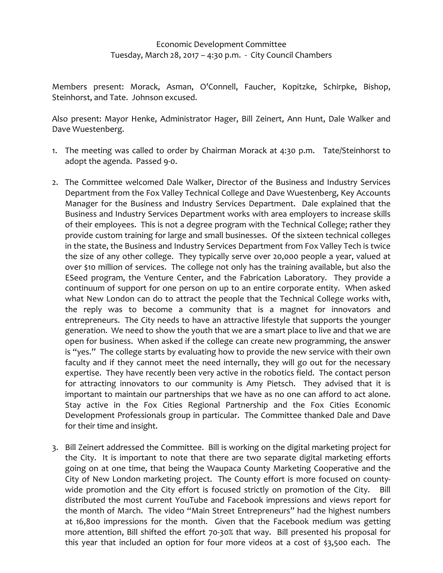## Economic Development Committee Tuesday, March 28, 2017 – 4:30 p.m. ‐ City Council Chambers

Members present: Morack, Asman, O'Connell, Faucher, Kopitzke, Schirpke, Bishop, Steinhorst, and Tate. Johnson excused.

Also present: Mayor Henke, Administrator Hager, Bill Zeinert, Ann Hunt, Dale Walker and Dave Wuestenberg.

- 1. The meeting was called to order by Chairman Morack at 4:30 p.m. Tate/Steinhorst to adopt the agenda. Passed 9‐0.
- 2. The Committee welcomed Dale Walker, Director of the Business and Industry Services Department from the Fox Valley Technical College and Dave Wuestenberg, Key Accounts Manager for the Business and Industry Services Department. Dale explained that the Business and Industry Services Department works with area employers to increase skills of their employees. This is not a degree program with the Technical College; rather they provide custom training for large and small businesses. Of the sixteen technical colleges in the state, the Business and Industry Services Department from Fox Valley Tech is twice the size of any other college. They typically serve over 20,000 people a year, valued at over \$10 million of services. The college not only has the training available, but also the ESeed program, the Venture Center, and the Fabrication Laboratory. They provide a continuum of support for one person on up to an entire corporate entity. When asked what New London can do to attract the people that the Technical College works with, the reply was to become a community that is a magnet for innovators and entrepreneurs. The City needs to have an attractive lifestyle that supports the younger generation. We need to show the youth that we are a smart place to live and that we are open for business. When asked if the college can create new programming, the answer is "yes." The college starts by evaluating how to provide the new service with their own faculty and if they cannot meet the need internally, they will go out for the necessary expertise. They have recently been very active in the robotics field. The contact person for attracting innovators to our community is Amy Pietsch. They advised that it is important to maintain our partnerships that we have as no one can afford to act alone. Stay active in the Fox Cities Regional Partnership and the Fox Cities Economic Development Professionals group in particular. The Committee thanked Dale and Dave for their time and insight.
- 3. Bill Zeinert addressed the Committee. Bill is working on the digital marketing project for the City. It is important to note that there are two separate digital marketing efforts going on at one time, that being the Waupaca County Marketing Cooperative and the City of New London marketing project. The County effort is more focused on county‐ wide promotion and the City effort is focused strictly on promotion of the City. Bill distributed the most current YouTube and Facebook impressions and views report for the month of March. The video "Main Street Entrepreneurs" had the highest numbers at 16,800 impressions for the month. Given that the Facebook medium was getting more attention, Bill shifted the effort 70‐30% that way. Bill presented his proposal for this year that included an option for four more videos at a cost of \$3,500 each. The